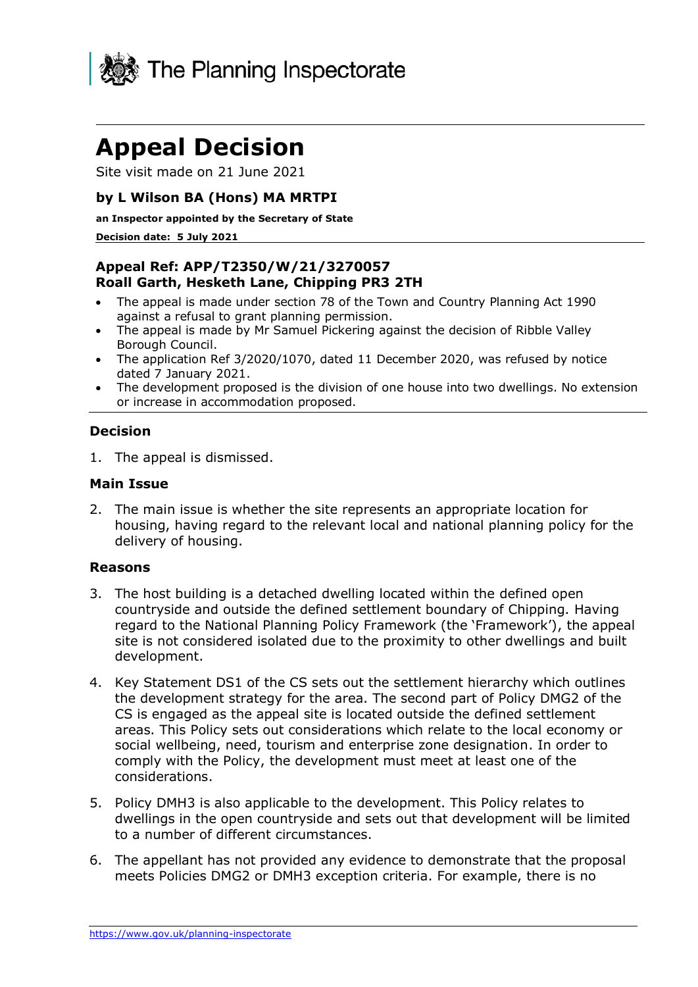

# **Appeal Decision**

Site visit made on 21 June 2021

# **by L Wilson BA (Hons) MA MRTPI**

**an Inspector appointed by the Secretary of State** 

#### **Decision date: 5 July 2021**

# **Appeal Ref: APP/T2350/W/21/3270057 Roall Garth, Hesketh Lane, Chipping PR3 2TH**

- The appeal is made under section 78 of the Town and Country Planning Act 1990 against a refusal to grant planning permission.
- The appeal is made by Mr Samuel Pickering against the decision of Ribble Valley Borough Council.
- The application Ref 3/2020/1070, dated 11 December 2020, was refused by notice dated 7 January 2021.
- The development proposed is the division of one house into two dwellings. No extension or increase in accommodation proposed.

#### **Decision**

1. The appeal is dismissed.

#### **Main Issue**

2. The main issue is whether the site represents an appropriate location for housing, having regard to the relevant local and national planning policy for the delivery of housing.

#### **Reasons**

- 3. The host building is a detached dwelling located within the defined open countryside and outside the defined settlement boundary of Chipping. Having regard to the National Planning Policy Framework (the 'Framework'), the appeal site is not considered isolated due to the proximity to other dwellings and built development.
- 4. Key Statement DS1 of the CS sets out the settlement hierarchy which outlines the development strategy for the area. The second part of Policy DMG2 of the CS is engaged as the appeal site is located outside the defined settlement areas. This Policy sets out considerations which relate to the local economy or social wellbeing, need, tourism and enterprise zone designation. In order to comply with the Policy, the development must meet at least one of the considerations.
- 5. Policy DMH3 is also applicable to the development. This Policy relates to dwellings in the open countryside and sets out that development will be limited to a number of different circumstances.
- 6. The appellant has not provided any evidence to demonstrate that the proposal meets Policies DMG2 or DMH3 exception criteria. For example, there is no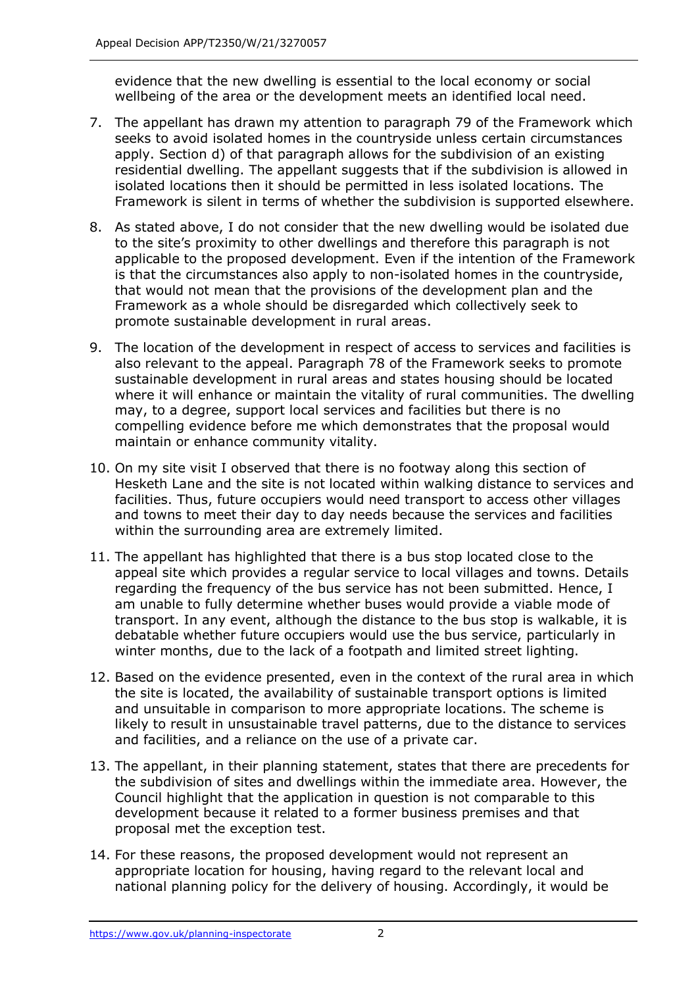evidence that the new dwelling is essential to the local economy or social wellbeing of the area or the development meets an identified local need.

- 7. The appellant has drawn my attention to paragraph 79 of the Framework which seeks to avoid isolated homes in the countryside unless certain circumstances apply. Section d) of that paragraph allows for the subdivision of an existing residential dwelling. The appellant suggests that if the subdivision is allowed in isolated locations then it should be permitted in less isolated locations. The Framework is silent in terms of whether the subdivision is supported elsewhere.
- 8. As stated above, I do not consider that the new dwelling would be isolated due to the site's proximity to other dwellings and therefore this paragraph is not applicable to the proposed development. Even if the intention of the Framework is that the circumstances also apply to non-isolated homes in the countryside, that would not mean that the provisions of the development plan and the Framework as a whole should be disregarded which collectively seek to promote sustainable development in rural areas.
- 9. The location of the development in respect of access to services and facilities is also relevant to the appeal. Paragraph 78 of the Framework seeks to promote sustainable development in rural areas and states housing should be located where it will enhance or maintain the vitality of rural communities. The dwelling may, to a degree, support local services and facilities but there is no compelling evidence before me which demonstrates that the proposal would maintain or enhance community vitality.
- 10. On my site visit I observed that there is no footway along this section of Hesketh Lane and the site is not located within walking distance to services and facilities. Thus, future occupiers would need transport to access other villages and towns to meet their day to day needs because the services and facilities within the surrounding area are extremely limited.
- 11. The appellant has highlighted that there is a bus stop located close to the appeal site which provides a regular service to local villages and towns. Details regarding the frequency of the bus service has not been submitted. Hence, I am unable to fully determine whether buses would provide a viable mode of transport. In any event, although the distance to the bus stop is walkable, it is debatable whether future occupiers would use the bus service, particularly in winter months, due to the lack of a footpath and limited street lighting.
- 12. Based on the evidence presented, even in the context of the rural area in which the site is located, the availability of sustainable transport options is limited and unsuitable in comparison to more appropriate locations. The scheme is likely to result in unsustainable travel patterns, due to the distance to services and facilities, and a reliance on the use of a private car.
- 13. The appellant, in their planning statement, states that there are precedents for the subdivision of sites and dwellings within the immediate area. However, the Council highlight that the application in question is not comparable to this development because it related to a former business premises and that proposal met the exception test.
- 14. For these reasons, the proposed development would not represent an appropriate location for housing, having regard to the relevant local and national planning policy for the delivery of housing. Accordingly, it would be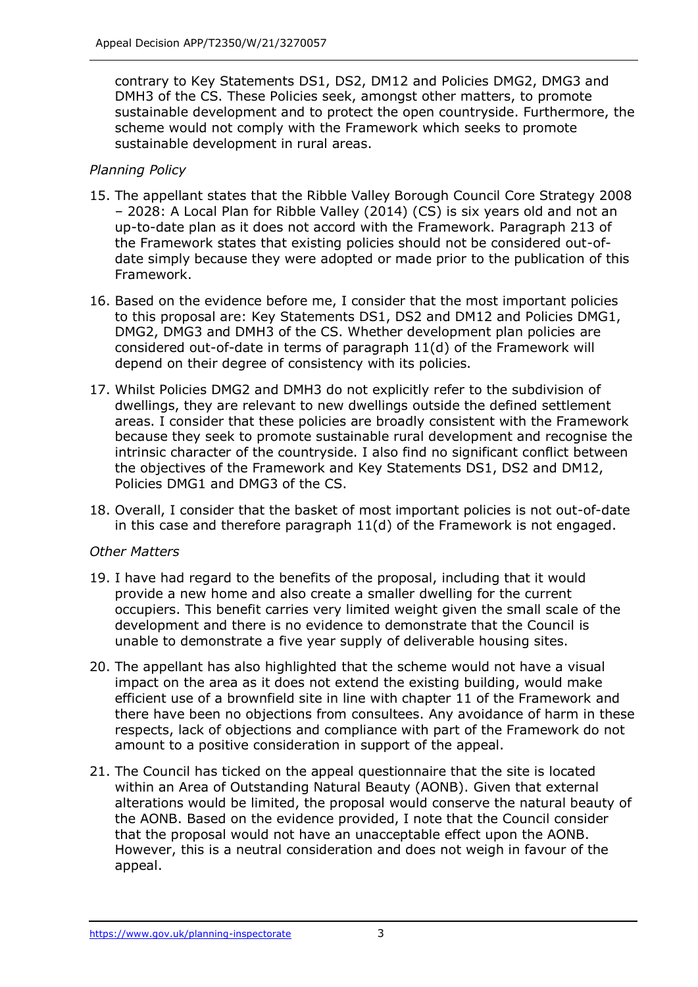contrary to Key Statements DS1, DS2, DM12 and Policies DMG2, DMG3 and DMH3 of the CS. These Policies seek, amongst other matters, to promote sustainable development and to protect the open countryside. Furthermore, the scheme would not comply with the Framework which seeks to promote sustainable development in rural areas.

## *Planning Policy*

- 15. The appellant states that the Ribble Valley Borough Council Core Strategy 2008 – 2028: A Local Plan for Ribble Valley (2014) (CS) is six years old and not an up-to-date plan as it does not accord with the Framework. Paragraph 213 of the Framework states that existing policies should not be considered out-ofdate simply because they were adopted or made prior to the publication of this Framework.
- 16. Based on the evidence before me, I consider that the most important policies to this proposal are: Key Statements DS1, DS2 and DM12 and Policies DMG1, DMG2, DMG3 and DMH3 of the CS. Whether development plan policies are considered out-of-date in terms of paragraph 11(d) of the Framework will depend on their degree of consistency with its policies.
- 17. Whilst Policies DMG2 and DMH3 do not explicitly refer to the subdivision of dwellings, they are relevant to new dwellings outside the defined settlement areas. I consider that these policies are broadly consistent with the Framework because they seek to promote sustainable rural development and recognise the intrinsic character of the countryside. I also find no significant conflict between the objectives of the Framework and Key Statements DS1, DS2 and DM12, Policies DMG1 and DMG3 of the CS.
- 18. Overall, I consider that the basket of most important policies is not out-of-date in this case and therefore paragraph 11(d) of the Framework is not engaged.

### *Other Matters*

- 19. I have had regard to the benefits of the proposal, including that it would provide a new home and also create a smaller dwelling for the current occupiers. This benefit carries very limited weight given the small scale of the development and there is no evidence to demonstrate that the Council is unable to demonstrate a five year supply of deliverable housing sites.
- 20. The appellant has also highlighted that the scheme would not have a visual impact on the area as it does not extend the existing building, would make efficient use of a brownfield site in line with chapter 11 of the Framework and there have been no objections from consultees. Any avoidance of harm in these respects, lack of objections and compliance with part of the Framework do not amount to a positive consideration in support of the appeal.
- 21. The Council has ticked on the appeal questionnaire that the site is located within an Area of Outstanding Natural Beauty (AONB). Given that external alterations would be limited, the proposal would conserve the natural beauty of the AONB. Based on the evidence provided, I note that the Council consider that the proposal would not have an unacceptable effect upon the AONB. However, this is a neutral consideration and does not weigh in favour of the appeal.